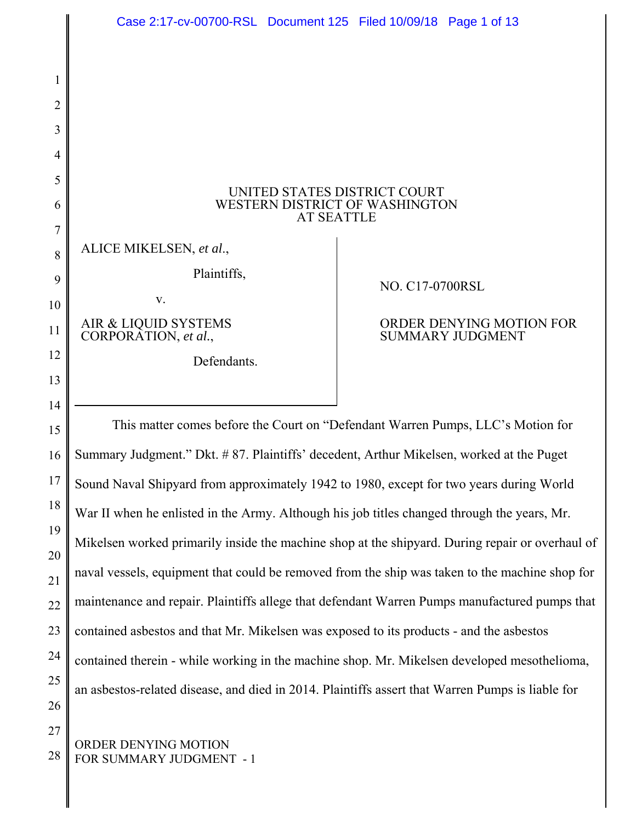|                | Case 2:17-cv-00700-RSL Document 125 Filed 10/09/18 Page 1 of 13                                 |                                                     |
|----------------|-------------------------------------------------------------------------------------------------|-----------------------------------------------------|
| 1<br>2         |                                                                                                 |                                                     |
| 3              |                                                                                                 |                                                     |
| $\overline{4}$ |                                                                                                 |                                                     |
| 5<br>6         | UNITED STATES DISTRICT COURT<br>WESTERN DISTRICT OF WASHINGTON                                  |                                                     |
| 7              |                                                                                                 | <b>AT SEATTLE</b>                                   |
| 8              | ALICE MIKELSEN, et al.,                                                                         |                                                     |
| 9<br>10        | Plaintiffs,<br>V.                                                                               | NO. C17-0700RSL                                     |
| 11             | AIR & LIQUID SYSTEMS<br>CORPORATION, et al.,                                                    | ORDER DENYING MOTION FOR<br><b>SUMMARY JUDGMENT</b> |
| 12             | Defendants.                                                                                     |                                                     |
| 13<br>14       |                                                                                                 |                                                     |
| 15             | This matter comes before the Court on "Defendant Warren Pumps, LLC's Motion for                 |                                                     |
| 16             | Summary Judgment." Dkt. #87. Plaintiffs' decedent, Arthur Mikelsen, worked at the Puget         |                                                     |
| 17             | Sound Naval Shipyard from approximately 1942 to 1980, except for two years during World         |                                                     |
| 18             | War II when he enlisted in the Army. Although his job titles changed through the years, Mr.     |                                                     |
| 19             | Mikelsen worked primarily inside the machine shop at the shipyard. During repair or overhaul of |                                                     |
| 20<br>21       | naval vessels, equipment that could be removed from the ship was taken to the machine shop for  |                                                     |

22 maintenance and repair. Plaintiffs allege that defendant Warren Pumps manufactured pumps that

23 contained asbestos and that Mr. Mikelsen was exposed to its products - and the asbestos

24 contained therein - while working in the machine shop. Mr. Mikelsen developed mesothelioma,

an asbestos-related disease, and died in 2014. Plaintiffs assert that Warren Pumps is liable for

27 28 ORDER DENYING MOTION FOR SUMMARY JUDGMENT - 1

25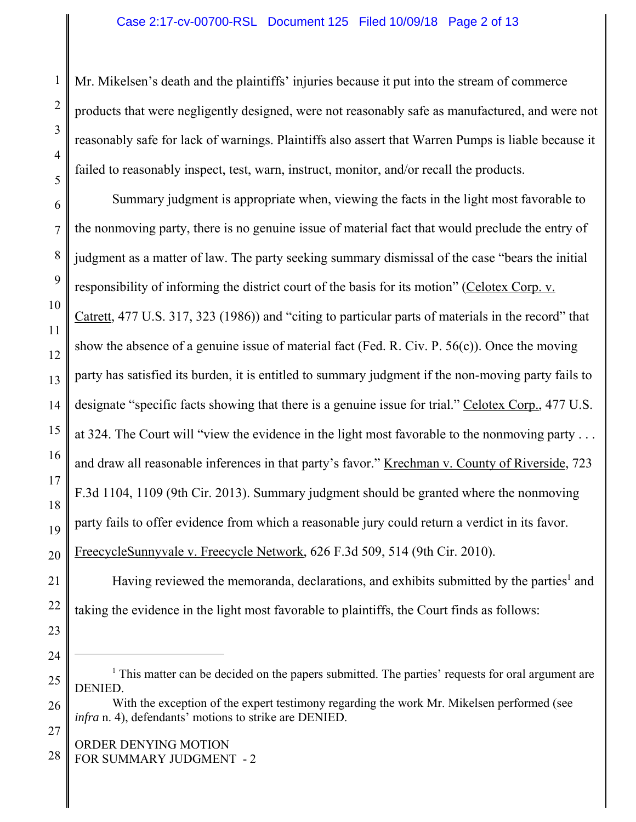Mr. Mikelsen's death and the plaintiffs' injuries because it put into the stream of commerce products that were negligently designed, were not reasonably safe as manufactured, and were not reasonably safe for lack of warnings. Plaintiffs also assert that Warren Pumps is liable because it failed to reasonably inspect, test, warn, instruct, monitor, and/or recall the products.

Summary judgment is appropriate when, viewing the facts in the light most favorable to the nonmoving party, there is no genuine issue of material fact that would preclude the entry of judgment as a matter of law. The party seeking summary dismissal of the case "bears the initial responsibility of informing the district court of the basis for its motion" (Celotex Corp. v. Catrett, 477 U.S. 317, 323 (1986)) and "citing to particular parts of materials in the record" that show the absence of a genuine issue of material fact (Fed. R. Civ. P. 56(c)). Once the moving party has satisfied its burden, it is entitled to summary judgment if the non-moving party fails to designate "specific facts showing that there is a genuine issue for trial." Celotex Corp., 477 U.S. at 324. The Court will "view the evidence in the light most favorable to the nonmoving party . . . and draw all reasonable inferences in that party's favor." Krechman v. County of Riverside, 723 F.3d 1104, 1109 (9th Cir. 2013). Summary judgment should be granted where the nonmoving party fails to offer evidence from which a reasonable jury could return a verdict in its favor. FreecycleSunnyvale v. Freecycle Network, 626 F.3d 509, 514 (9th Cir. 2010).

Having reviewed the memoranda, declarations, and exhibits submitted by the parties<sup>1</sup> and taking the evidence in the light most favorable to plaintiffs, the Court finds as follows:

ORDER DENYING MOTION FOR SUMMARY JUDGMENT - 2

1

<sup>&</sup>lt;sup>1</sup> This matter can be decided on the papers submitted. The parties' requests for oral argument are DENIED.

With the exception of the expert testimony regarding the work Mr. Mikelsen performed (see *infra* n. 4), defendants' motions to strike are DENIED.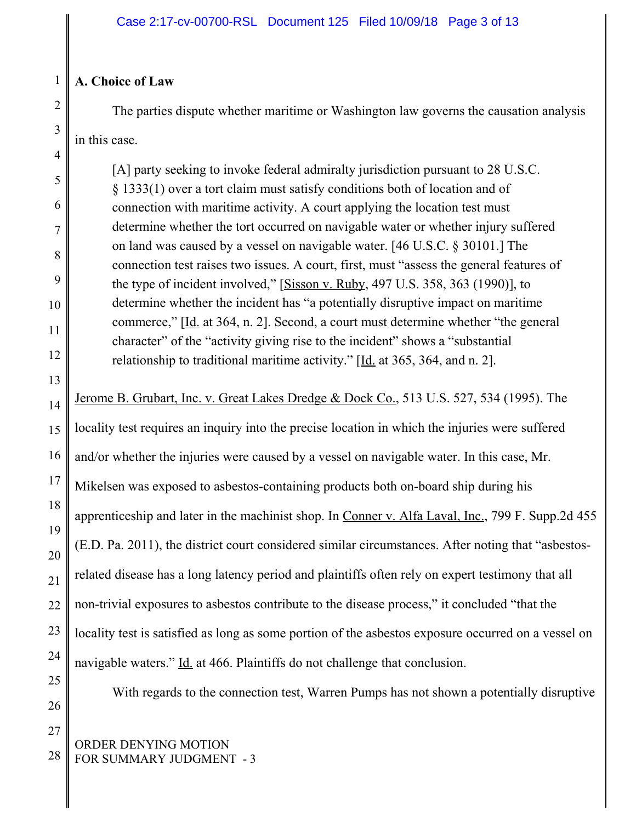#### 1 **A. Choice of Law**

2

3

4

5

6

7

8

9

10

11

12

13

The parties dispute whether maritime or Washington law governs the causation analysis in this case.

[A] party seeking to invoke federal admiralty jurisdiction pursuant to 28 U.S.C. § 1333(1) over a tort claim must satisfy conditions both of location and of connection with maritime activity. A court applying the location test must determine whether the tort occurred on navigable water or whether injury suffered on land was caused by a vessel on navigable water. [46 U.S.C. § 30101.] The connection test raises two issues. A court, first, must "assess the general features of the type of incident involved," [Sisson v. Ruby, 497 U.S. 358, 363 (1990)], to determine whether the incident has "a potentially disruptive impact on maritime commerce," [Id. at 364, n. 2]. Second, a court must determine whether "the general character" of the "activity giving rise to the incident" shows a "substantial relationship to traditional maritime activity." [Id. at 365, 364, and n. 2].

14 15 16 17 18 19 20 21 22 23 24 25 Jerome B. Grubart, Inc. v. Great Lakes Dredge & Dock Co., 513 U.S. 527, 534 (1995). The locality test requires an inquiry into the precise location in which the injuries were suffered and/or whether the injuries were caused by a vessel on navigable water. In this case, Mr. Mikelsen was exposed to asbestos-containing products both on-board ship during his apprenticeship and later in the machinist shop. In Conner v. Alfa Laval, Inc., 799 F. Supp.2d 455 (E.D. Pa. 2011), the district court considered similar circumstances. After noting that "asbestosrelated disease has a long latency period and plaintiffs often rely on expert testimony that all non-trivial exposures to asbestos contribute to the disease process," it concluded "that the locality test is satisfied as long as some portion of the asbestos exposure occurred on a vessel on navigable waters." Id. at 466. Plaintiffs do not challenge that conclusion.

With regards to the connection test, Warren Pumps has not shown a potentially disruptive

26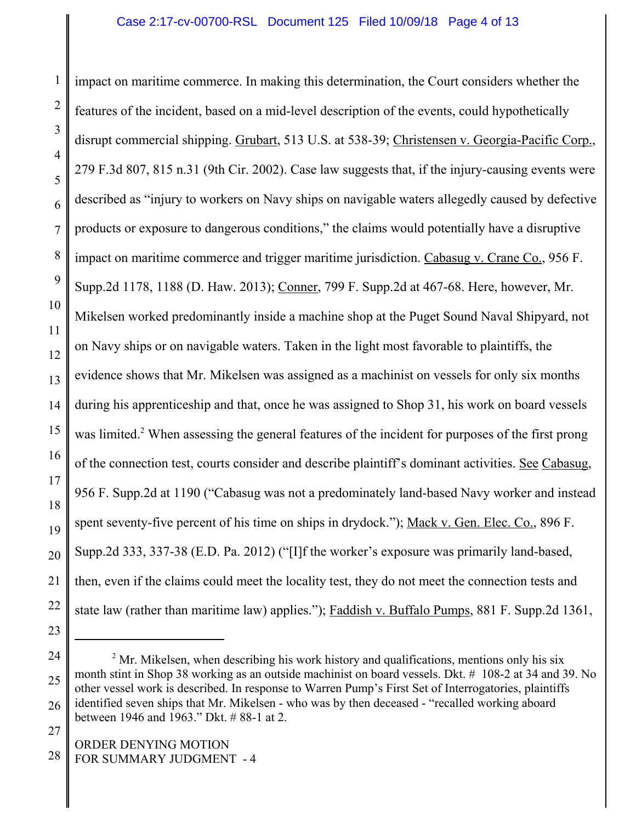impact on maritime commerce. In making this determination, the Court considers whether the features of the incident, based on a mid-level description of the events, could hypothetically disrupt commercial shipping. Grubart, 513 U.S. at 538-39; Christensen v. Georgia-Pacific Corp., 279 F.3d 807, 815 n.31 (9th Cir. 2002). Case law suggests that, if the injury-causing events were described as "injury to workers on Navy ships on navigable waters allegedly caused by defective products or exposure to dangerous conditions," the claims would potentially have a disruptive impact on maritime commerce and trigger maritime jurisdiction. Cabasug v. Crane Co., 956 F. Supp.2d 1178, 1188 (D. Haw. 2013); Conner, 799 F. Supp.2d at 467-68. Here, however, Mr. Mikelsen worked predominantly inside a machine shop at the Puget Sound Naval Shipyard, not on Navy ships or on navigable waters. Taken in the light most favorable to plaintiffs, the evidence shows that Mr. Mikelsen was assigned as a machinist on vessels for only six months during his apprenticeship and that, once he was assigned to Shop 31, his work on board vessels was limited.<sup>2</sup> When assessing the general features of the incident for purposes of the first prong of the connection test, courts consider and describe plaintiff's dominant activities. See Cabasug, 956 F. Supp.2d at 1190 ("Cabasug was not a predominately land-based Navy worker and instead spent seventy-five percent of his time on ships in drydock."); Mack v. Gen. Elec. Co., 896 F. Supp.2d 333, 337-38 (E.D. Pa. 2012) ("[I]f the worker's exposure was primarily land-based, then, even if the claims could meet the locality test, they do not meet the connection tests and state law (rather than maritime law) applies."); Faddish v. Buffalo Pumps, 881 F. Supp.2d 1361,

 $2^2$  Mr. Mikelsen, when describing his work history and qualifications, mentions only his six month stint in Shop 38 working as an outside machinist on board vessels. Dkt. # 108-2 at 34 and 39. No other vessel work is described. In response to Warren Pump's First Set of Interrogatories, plaintiffs identified seven ships that Mr. Mikelsen - who was by then deceased - "recalled working aboard between 1946 and 1963." Dkt. # 88-1 at 2.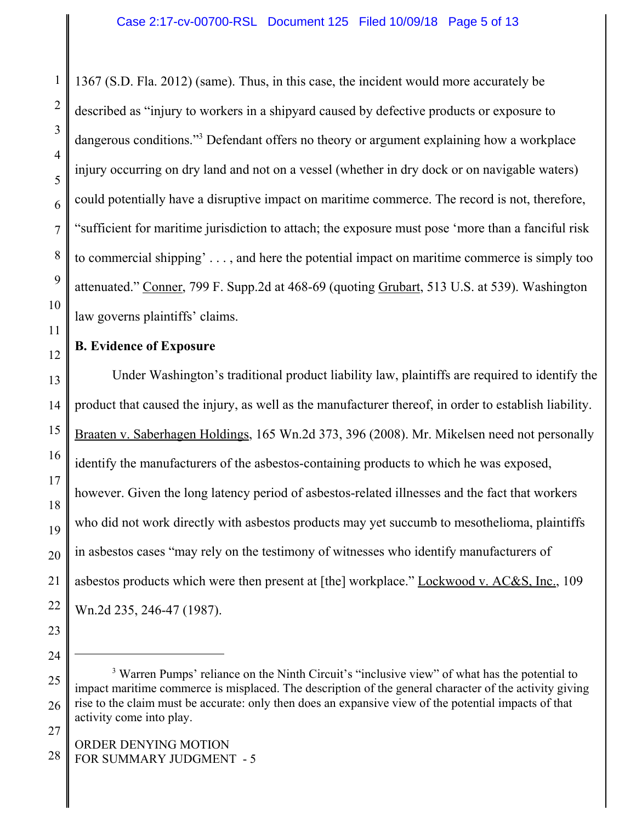1367 (S.D. Fla. 2012) (same). Thus, in this case, the incident would more accurately be described as "injury to workers in a shipyard caused by defective products or exposure to dangerous conditions."<sup>3</sup> Defendant offers no theory or argument explaining how a workplace injury occurring on dry land and not on a vessel (whether in dry dock or on navigable waters) could potentially have a disruptive impact on maritime commerce. The record is not, therefore, "sufficient for maritime jurisdiction to attach; the exposure must pose 'more than a fanciful risk to commercial shipping' . . . , and here the potential impact on maritime commerce is simply too attenuated." Conner, 799 F. Supp.2d at 468-69 (quoting Grubart, 513 U.S. at 539). Washington law governs plaintiffs' claims.

# **B. Evidence of Exposure**

Under Washington's traditional product liability law, plaintiffs are required to identify the product that caused the injury, as well as the manufacturer thereof, in order to establish liability. Braaten v. Saberhagen Holdings, 165 Wn.2d 373, 396 (2008). Mr. Mikelsen need not personally identify the manufacturers of the asbestos-containing products to which he was exposed, however. Given the long latency period of asbestos-related illnesses and the fact that workers who did not work directly with asbestos products may yet succumb to mesothelioma, plaintiffs in asbestos cases "may rely on the testimony of witnesses who identify manufacturers of asbestos products which were then present at [the] workplace." Lockwood v. AC&S, Inc., 109 Wn.2d 235, 246-47 (1987).

<sup>&</sup>lt;sup>3</sup> Warren Pumps' reliance on the Ninth Circuit's "inclusive view" of what has the potential to impact maritime commerce is misplaced. The description of the general character of the activity giving rise to the claim must be accurate: only then does an expansive view of the potential impacts of that activity come into play.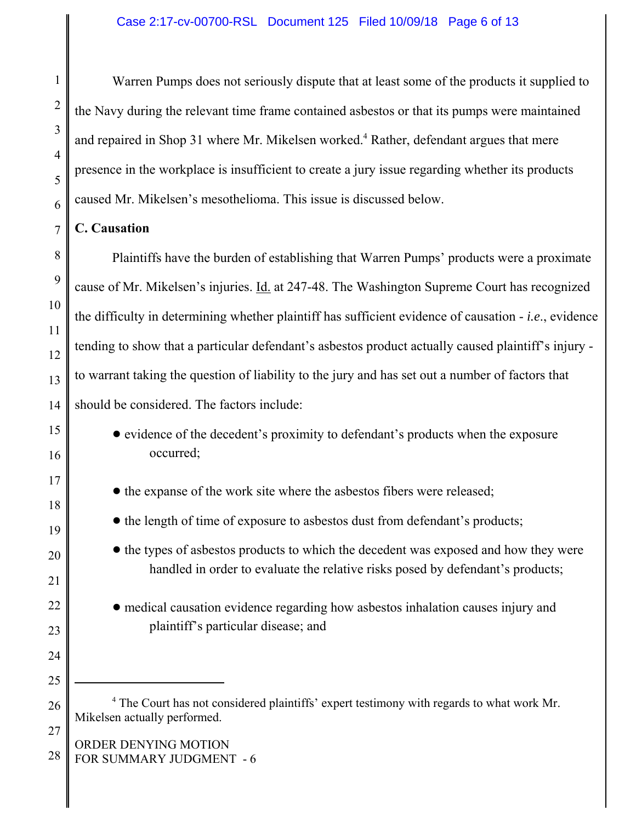Warren Pumps does not seriously dispute that at least some of the products it supplied to the Navy during the relevant time frame contained asbestos or that its pumps were maintained and repaired in Shop 31 where Mr. Mikelsen worked.<sup>4</sup> Rather, defendant argues that mere presence in the workplace is insufficient to create a jury issue regarding whether its products caused Mr. Mikelsen's mesothelioma. This issue is discussed below.

## **C. Causation**

Plaintiffs have the burden of establishing that Warren Pumps' products were a proximate cause of Mr. Mikelsen's injuries. Id. at 247-48. The Washington Supreme Court has recognized the difficulty in determining whether plaintiff has sufficient evidence of causation - *i.e*., evidence tending to show that a particular defendant's asbestos product actually caused plaintiff's injury to warrant taking the question of liability to the jury and has set out a number of factors that should be considered. The factors include:

- evidence of the decedent's proximity to defendant's products when the exposure occurred;
- the expanse of the work site where the asbestos fibers were released;
- the length of time of exposure to asbestos dust from defendant's products;
- the types of asbestos products to which the decedent was exposed and how they were handled in order to evaluate the relative risks posed by defendant's products;
- ! medical causation evidence regarding how asbestos inhalation causes injury and plaintiff's particular disease; and

<sup>&</sup>lt;sup>4</sup> The Court has not considered plaintiffs' expert testimony with regards to what work Mr. Mikelsen actually performed.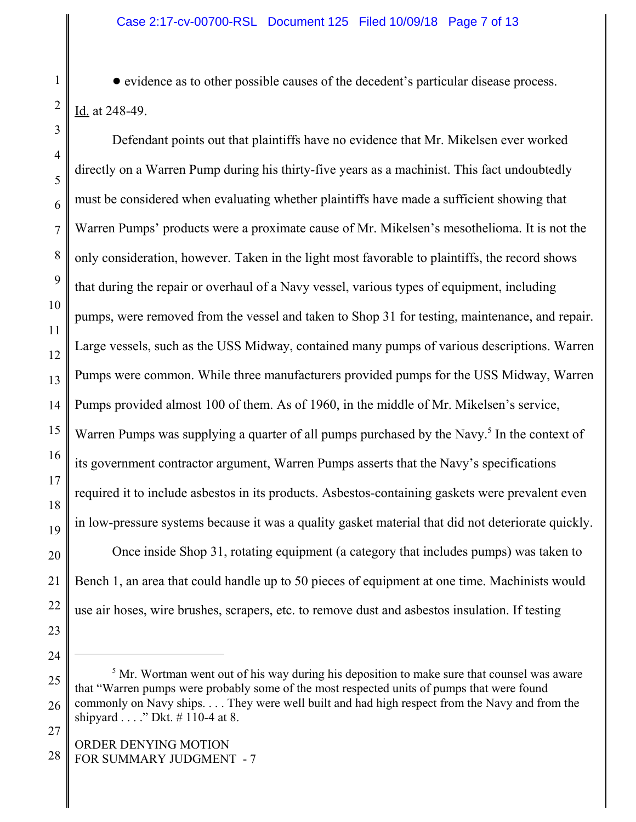! evidence as to other possible causes of the decedent's particular disease process. Id. at 248-49.

Defendant points out that plaintiffs have no evidence that Mr. Mikelsen ever worked directly on a Warren Pump during his thirty-five years as a machinist. This fact undoubtedly must be considered when evaluating whether plaintiffs have made a sufficient showing that Warren Pumps' products were a proximate cause of Mr. Mikelsen's mesothelioma. It is not the only consideration, however. Taken in the light most favorable to plaintiffs, the record shows that during the repair or overhaul of a Navy vessel, various types of equipment, including pumps, were removed from the vessel and taken to Shop 31 for testing, maintenance, and repair. Large vessels, such as the USS Midway, contained many pumps of various descriptions. Warren Pumps were common. While three manufacturers provided pumps for the USS Midway, Warren Pumps provided almost 100 of them. As of 1960, in the middle of Mr. Mikelsen's service, Warren Pumps was supplying a quarter of all pumps purchased by the Navy.<sup>5</sup> In the context of its government contractor argument, Warren Pumps asserts that the Navy's specifications required it to include asbestos in its products. Asbestos-containing gaskets were prevalent even in low-pressure systems because it was a quality gasket material that did not deteriorate quickly. Once inside Shop 31, rotating equipment (a category that includes pumps) was taken to Bench 1, an area that could handle up to 50 pieces of equipment at one time. Machinists would use air hoses, wire brushes, scrapers, etc. to remove dust and asbestos insulation. If testing

<sup>5</sup> Mr. Wortman went out of his way during his deposition to make sure that counsel was aware that "Warren pumps were probably some of the most respected units of pumps that were found commonly on Navy ships. . . . They were well built and had high respect from the Navy and from the shipyard . . . ." Dkt. # 110-4 at 8.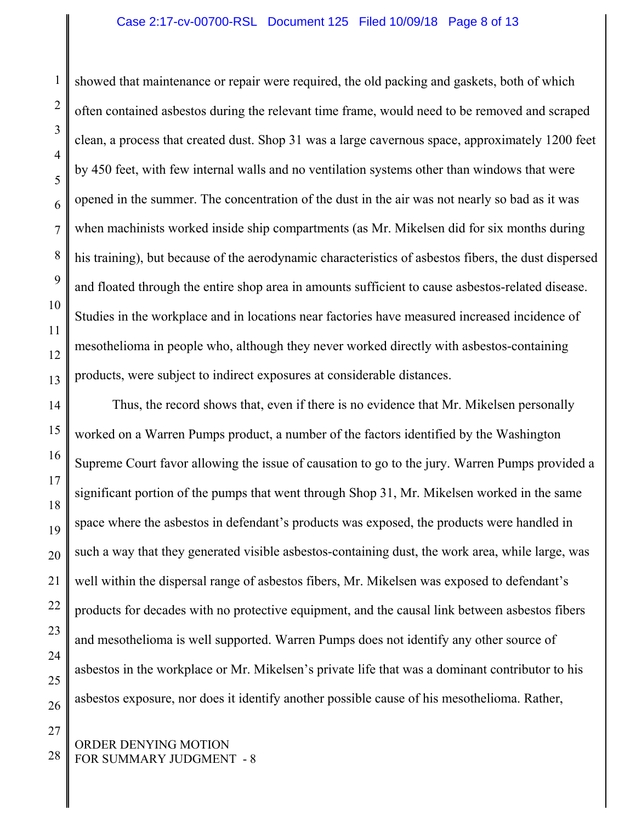### Case 2:17-cv-00700-RSL Document 125 Filed 10/09/18 Page 8 of 13

showed that maintenance or repair were required, the old packing and gaskets, both of which often contained asbestos during the relevant time frame, would need to be removed and scraped clean, a process that created dust. Shop 31 was a large cavernous space, approximately 1200 feet by 450 feet, with few internal walls and no ventilation systems other than windows that were opened in the summer. The concentration of the dust in the air was not nearly so bad as it was when machinists worked inside ship compartments (as Mr. Mikelsen did for six months during his training), but because of the aerodynamic characteristics of asbestos fibers, the dust dispersed and floated through the entire shop area in amounts sufficient to cause asbestos-related disease. Studies in the workplace and in locations near factories have measured increased incidence of mesothelioma in people who, although they never worked directly with asbestos-containing products, were subject to indirect exposures at considerable distances.

Thus, the record shows that, even if there is no evidence that Mr. Mikelsen personally worked on a Warren Pumps product, a number of the factors identified by the Washington Supreme Court favor allowing the issue of causation to go to the jury. Warren Pumps provided a significant portion of the pumps that went through Shop 31, Mr. Mikelsen worked in the same space where the asbestos in defendant's products was exposed, the products were handled in such a way that they generated visible asbestos-containing dust, the work area, while large, was well within the dispersal range of asbestos fibers, Mr. Mikelsen was exposed to defendant's products for decades with no protective equipment, and the causal link between asbestos fibers and mesothelioma is well supported. Warren Pumps does not identify any other source of asbestos in the workplace or Mr. Mikelsen's private life that was a dominant contributor to his asbestos exposure, nor does it identify another possible cause of his mesothelioma. Rather,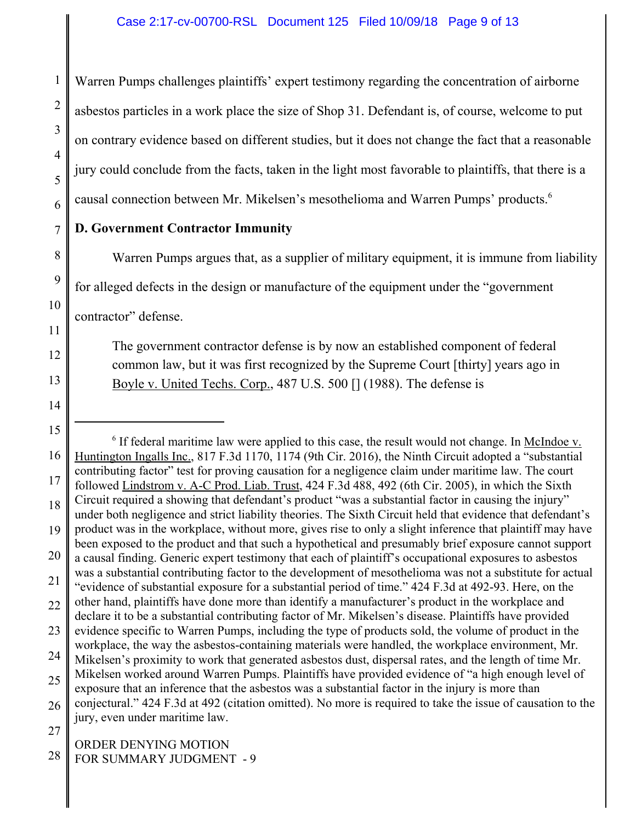Warren Pumps challenges plaintiffs' expert testimony regarding the concentration of airborne asbestos particles in a work place the size of Shop 31. Defendant is, of course, welcome to put on contrary evidence based on different studies, but it does not change the fact that a reasonable jury could conclude from the facts, taken in the light most favorable to plaintiffs, that there is a causal connection between Mr. Mikelsen's mesothelioma and Warren Pumps' products.6

# **D. Government Contractor Immunity**

Warren Pumps argues that, as a supplier of military equipment, it is immune from liability

for alleged defects in the design or manufacture of the equipment under the "government

contractor" defense.

The government contractor defense is by now an established component of federal common law, but it was first recognized by the Supreme Court [thirty] years ago in Boyle v. United Techs. Corp., 487 U.S. 500 [] (1988). The defense is

<sup>16</sup> 17 18 19 20 22 23 24 25 26 27  $6$  If federal maritime law were applied to this case, the result would not change. In McIndoe v. Huntington Ingalls Inc., 817 F.3d 1170, 1174 (9th Cir. 2016), the Ninth Circuit adopted a "substantial contributing factor" test for proving causation for a negligence claim under maritime law. The court followed Lindstrom v. A-C Prod. Liab. Trust, 424 F.3d 488, 492 (6th Cir. 2005), in which the Sixth Circuit required a showing that defendant's product "was a substantial factor in causing the injury" under both negligence and strict liability theories. The Sixth Circuit held that evidence that defendant's product was in the workplace, without more, gives rise to only a slight inference that plaintiff may have been exposed to the product and that such a hypothetical and presumably brief exposure cannot support a causal finding. Generic expert testimony that each of plaintiff's occupational exposures to asbestos was a substantial contributing factor to the development of mesothelioma was not a substitute for actual "evidence of substantial exposure for a substantial period of time." 424 F.3d at 492-93. Here, on the other hand, plaintiffs have done more than identify a manufacturer's product in the workplace and declare it to be a substantial contributing factor of Mr. Mikelsen's disease. Plaintiffs have provided evidence specific to Warren Pumps, including the type of products sold, the volume of product in the workplace, the way the asbestos-containing materials were handled, the workplace environment, Mr. Mikelsen's proximity to work that generated asbestos dust, dispersal rates, and the length of time Mr. Mikelsen worked around Warren Pumps. Plaintiffs have provided evidence of "a high enough level of exposure that an inference that the asbestos was a substantial factor in the injury is more than conjectural." 424 F.3d at 492 (citation omitted). No more is required to take the issue of causation to the jury, even under maritime law.

<sup>28</sup> ORDER DENYING MOTION FOR SUMMARY JUDGMENT - 9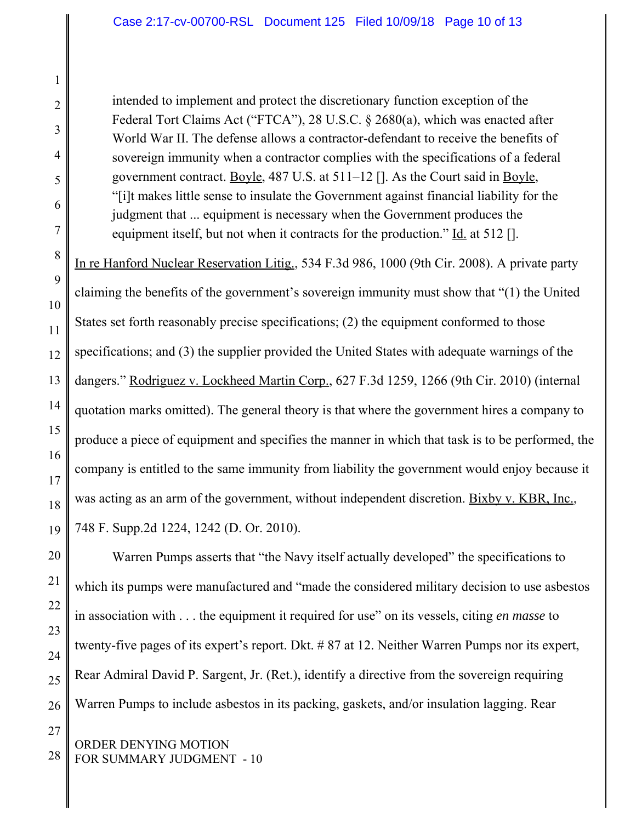intended to implement and protect the discretionary function exception of the Federal Tort Claims Act ("FTCA"), 28 U.S.C. § 2680(a), which was enacted after World War II. The defense allows a contractor-defendant to receive the benefits of sovereign immunity when a contractor complies with the specifications of a federal government contract. Boyle, 487 U.S. at 511–12 []. As the Court said in Boyle, "[i]t makes little sense to insulate the Government against financial liability for the judgment that ... equipment is necessary when the Government produces the equipment itself, but not when it contracts for the production."  $\underline{Id}$  at 512 [].

In re Hanford Nuclear Reservation Litig., 534 F.3d 986, 1000 (9th Cir. 2008). A private party claiming the benefits of the government's sovereign immunity must show that "(1) the United States set forth reasonably precise specifications; (2) the equipment conformed to those specifications; and (3) the supplier provided the United States with adequate warnings of the dangers." Rodriguez v. Lockheed Martin Corp., 627 F.3d 1259, 1266 (9th Cir. 2010) (internal quotation marks omitted). The general theory is that where the government hires a company to produce a piece of equipment and specifies the manner in which that task is to be performed, the company is entitled to the same immunity from liability the government would enjoy because it was acting as an arm of the government, without independent discretion. Bixby v. KBR, Inc., 748 F. Supp.2d 1224, 1242 (D. Or. 2010).

Warren Pumps asserts that "the Navy itself actually developed" the specifications to which its pumps were manufactured and "made the considered military decision to use asbestos in association with . . . the equipment it required for use" on its vessels, citing *en masse* to twenty-five pages of its expert's report. Dkt. # 87 at 12. Neither Warren Pumps nor its expert, Rear Admiral David P. Sargent, Jr. (Ret.), identify a directive from the sovereign requiring Warren Pumps to include asbestos in its packing, gaskets, and/or insulation lagging. Rear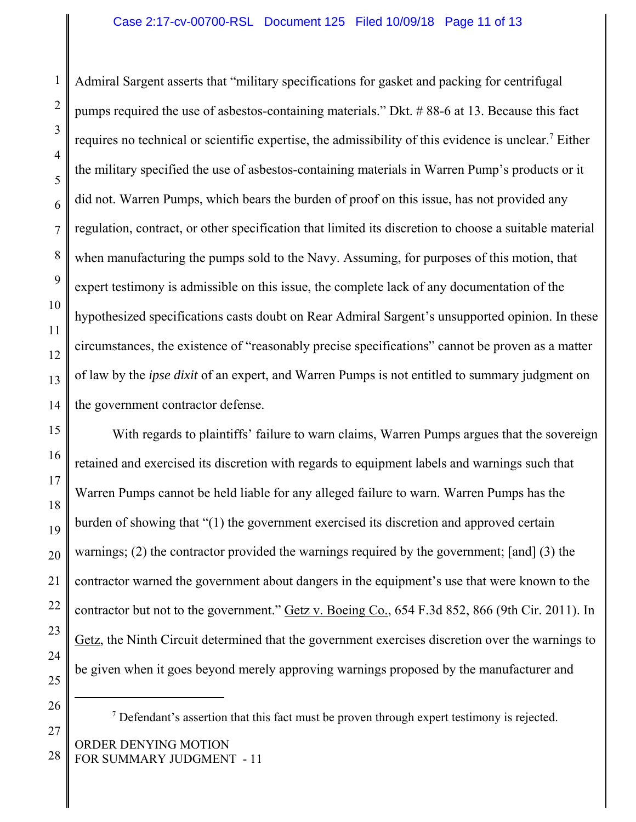14 Admiral Sargent asserts that "military specifications for gasket and packing for centrifugal pumps required the use of asbestos-containing materials." Dkt. # 88-6 at 13. Because this fact requires no technical or scientific expertise, the admissibility of this evidence is unclear.<sup>7</sup> Either the military specified the use of asbestos-containing materials in Warren Pump's products or it did not. Warren Pumps, which bears the burden of proof on this issue, has not provided any regulation, contract, or other specification that limited its discretion to choose a suitable material when manufacturing the pumps sold to the Navy. Assuming, for purposes of this motion, that expert testimony is admissible on this issue, the complete lack of any documentation of the hypothesized specifications casts doubt on Rear Admiral Sargent's unsupported opinion. In these circumstances, the existence of "reasonably precise specifications" cannot be proven as a matter of law by the *ipse dixit* of an expert, and Warren Pumps is not entitled to summary judgment on the government contractor defense.

With regards to plaintiffs' failure to warn claims, Warren Pumps argues that the sovereign retained and exercised its discretion with regards to equipment labels and warnings such that Warren Pumps cannot be held liable for any alleged failure to warn. Warren Pumps has the burden of showing that "(1) the government exercised its discretion and approved certain warnings; (2) the contractor provided the warnings required by the government; [and] (3) the contractor warned the government about dangers in the equipment's use that were known to the contractor but not to the government." Getz v. Boeing Co., 654 F.3d 852, 866 (9th Cir. 2011). In Getz, the Ninth Circuit determined that the government exercises discretion over the warnings to be given when it goes beyond merely approving warnings proposed by the manufacturer and

27

1

2

3

4

5

6

7

8

9

10

11

12

13

15

16

17

18

19

20

21

22

23

24

25

 $<sup>7</sup>$  Defendant's assertion that this fact must be proven through expert testimony is rejected.</sup>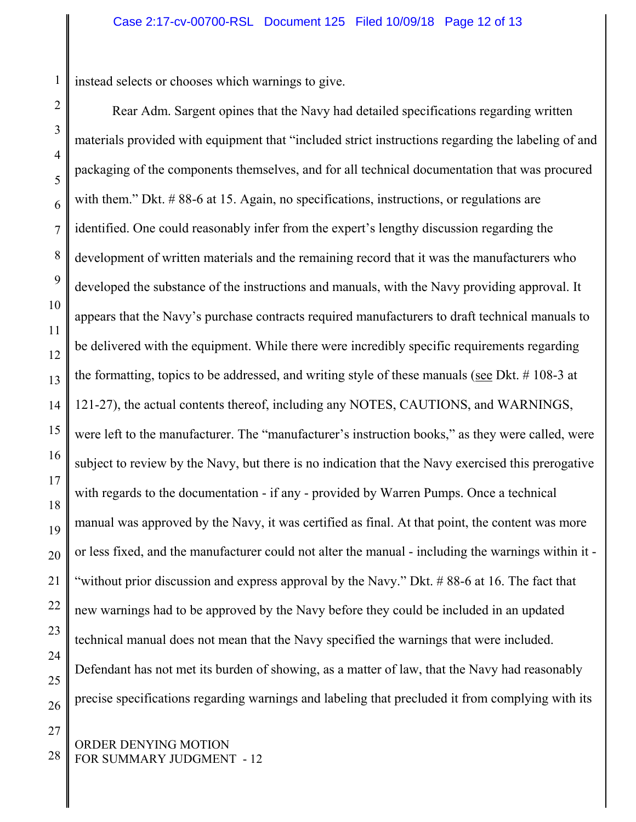1 instead selects or chooses which warnings to give.

Rear Adm. Sargent opines that the Navy had detailed specifications regarding written materials provided with equipment that "included strict instructions regarding the labeling of and packaging of the components themselves, and for all technical documentation that was procured with them." Dkt. #88-6 at 15. Again, no specifications, instructions, or regulations are identified. One could reasonably infer from the expert's lengthy discussion regarding the development of written materials and the remaining record that it was the manufacturers who developed the substance of the instructions and manuals, with the Navy providing approval. It appears that the Navy's purchase contracts required manufacturers to draft technical manuals to be delivered with the equipment. While there were incredibly specific requirements regarding the formatting, topics to be addressed, and writing style of these manuals (see Dkt.  $\#$  108-3 at 121-27), the actual contents thereof, including any NOTES, CAUTIONS, and WARNINGS, were left to the manufacturer. The "manufacturer's instruction books," as they were called, were subject to review by the Navy, but there is no indication that the Navy exercised this prerogative with regards to the documentation - if any - provided by Warren Pumps. Once a technical manual was approved by the Navy, it was certified as final. At that point, the content was more or less fixed, and the manufacturer could not alter the manual - including the warnings within it - "without prior discussion and express approval by the Navy." Dkt. # 88-6 at 16. The fact that new warnings had to be approved by the Navy before they could be included in an updated technical manual does not mean that the Navy specified the warnings that were included. Defendant has not met its burden of showing, as a matter of law, that the Navy had reasonably precise specifications regarding warnings and labeling that precluded it from complying with its